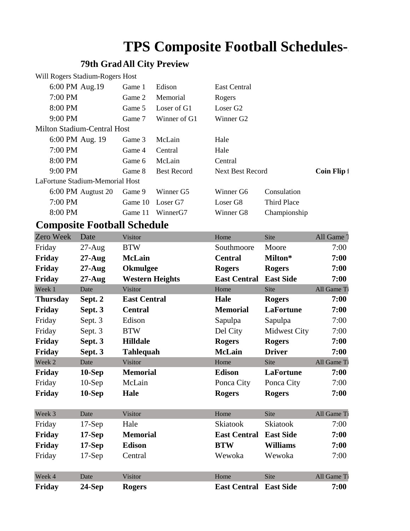## **TPS Composite Football Schedules-**

### **79th Grad All City Preview**

Will Rogers Stadium-Rogers Host

|                 | 6:00 PM Aug.19                     | Game 1                 | Edison             | <b>East Central</b>   |                     |                    |
|-----------------|------------------------------------|------------------------|--------------------|-----------------------|---------------------|--------------------|
| 7:00 PM         |                                    | Game 2                 | Memorial           | Rogers                |                     |                    |
| 8:00 PM         |                                    | Game 5                 | Loser of G1        | Loser <sub>G2</sub>   |                     |                    |
| 9:00 PM         |                                    | Game 7                 | Winner of G1       | Winner G <sub>2</sub> |                     |                    |
|                 | Milton Stadium-Central Host        |                        |                    |                       |                     |                    |
|                 | 6:00 PM Aug. 19                    | Game 3                 | McLain             | Hale                  |                     |                    |
| 7:00 PM         |                                    | Game 4                 | Central            | Hale                  |                     |                    |
| 8:00 PM         |                                    | Game 6                 | McLain             | Central               |                     |                    |
| 9:00 PM         |                                    | Game 8                 | <b>Best Record</b> | Next Best Record      |                     | <b>Coin Flip f</b> |
|                 | LaFortune Stadium-Memorial Host    |                        |                    |                       |                     |                    |
|                 | 6:00 PM Augtust 20                 | Game 9                 | Winner G5          | Winner G6             | Consulation         |                    |
| 7:00 PM         |                                    | Game 10                | Loser G7           | Loser G8              | <b>Third Place</b>  |                    |
| 8:00 PM         |                                    | Game 11                | WinnerG7           | Winner G8             | Championship        |                    |
|                 | <b>Composite Football Schedule</b> |                        |                    |                       |                     |                    |
| Zero Week       | Date                               | Visitor                |                    | Home                  | Site                | All Game 7         |
| Friday          | $27$ -Aug                          | <b>BTW</b>             |                    | Southmoore            | Moore               | 7:00               |
| Friday          | $27 - Aug$                         | <b>McLain</b>          |                    | <b>Central</b>        | Milton*             | 7:00               |
| Friday          | $27 - Aug$                         | <b>Okmulgee</b>        |                    | <b>Rogers</b>         | <b>Rogers</b>       | 7:00               |
| Friday          | $27 - Aug$                         | <b>Western Heights</b> |                    | <b>East Central</b>   | <b>East Side</b>    | 7:00               |
| Week 1          | Date                               | Visitor                |                    | Home                  | Site                | All Game Ti        |
| <b>Thursday</b> | Sept. 2                            | <b>East Central</b>    |                    | Hale                  | <b>Rogers</b>       | 7:00               |
| Friday          | Sept. 3                            | <b>Central</b>         |                    | <b>Memorial</b>       | <b>LaFortune</b>    | 7:00               |
| Friday          | Sept. 3                            | Edison                 |                    | Sapulpa               | Sapulpa             | 7:00               |
| Friday          | Sept. 3                            | <b>BTW</b>             |                    | Del City              | <b>Midwest City</b> | 7:00               |
| Friday          | Sept. 3                            | <b>Hilldale</b>        |                    | <b>Rogers</b>         | <b>Rogers</b>       | 7:00               |
| Friday          | Sept. 3                            | <b>Tahlequah</b>       |                    | <b>McLain</b>         | <b>Driver</b>       | 7:00               |
| Week 2          | Date                               | Visitor                |                    | Home                  | Site                | All Game Ti        |
| Friday          | $10-Sep$                           | <b>Memorial</b>        |                    | <b>Edison</b>         | <b>LaFortune</b>    | 7:00               |
| Friday          | $10-Sep$                           | McLain                 |                    | Ponca City            | Ponca City          | 7:00               |
| Friday          | $10-Sep$                           | Hale                   |                    | <b>Rogers</b>         | <b>Rogers</b>       | 7:00               |
| Week 3          | Date                               | Visitor                |                    | Home                  | Site                | All Game Ti        |
| Friday          | $17-$ Sep                          | Hale                   |                    | Skiatook              | Skiatook            | 7:00               |
| Friday          | $17-Sep$                           | <b>Memorial</b>        |                    | <b>East Central</b>   | <b>East Side</b>    | 7:00               |
| Friday          | $17-Sep$                           | <b>Edison</b>          |                    | <b>BTW</b>            | <b>Williams</b>     | 7:00               |
|                 | $17-Sep$                           | Central                |                    | Wewoka                | Wewoka              | 7:00               |
|                 |                                    |                        |                    |                       |                     |                    |
| Friday          |                                    |                        |                    |                       |                     |                    |
| Week 4          | Date                               | Visitor                |                    | Home                  | <b>Site</b>         | All Game Ti        |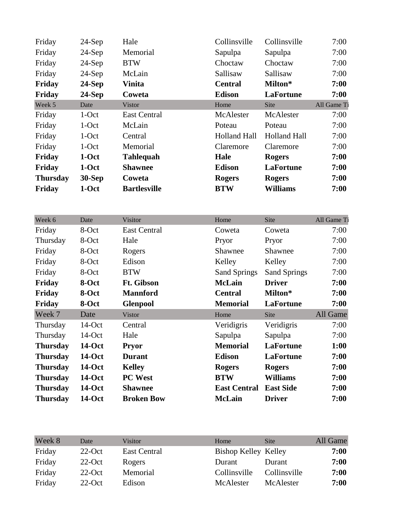| Friday          | $24-Sep$      | Hale                | Collinsville        | Collinsville        | 7:00        |
|-----------------|---------------|---------------------|---------------------|---------------------|-------------|
| Friday          | $24-Sep$      | Memorial            | Sapulpa             | Sapulpa             | 7:00        |
| Friday          | $24-Sep$      | <b>BTW</b>          | Choctaw             | Choctaw             | 7:00        |
| Friday          | $24-Sep$      | McLain              | Sallisaw            | Sallisaw            | 7:00        |
| Friday          | $24-Sep$      | <b>Vinita</b>       | <b>Central</b>      | Milton*             | 7:00        |
| Friday          | $24-Sep$      | Coweta              | <b>Edison</b>       | <b>LaFortune</b>    | 7:00        |
| Week 5          | Date          | Vistor              | Home                | <b>Site</b>         | All Game Ti |
| Friday          | $1-Oct$       | <b>East Central</b> | McAlester           | McAlester           | 7:00        |
| Friday          | 1-Oct         | McLain              | Poteau              | Poteau              | 7:00        |
| Friday          | 1-Oct         | Central             | <b>Holland Hall</b> | <b>Holland Hall</b> | 7:00        |
| Friday          | $1-Oct$       | Memorial            | Claremore           | Claremore           | 7:00        |
| Friday          | 1-Oct         | <b>Tahlequah</b>    | Hale                | <b>Rogers</b>       | 7:00        |
| Friday          | 1-Oct         | <b>Shawnee</b>      | <b>Edison</b>       | <b>LaFortune</b>    | 7:00        |
| <b>Thursday</b> | <b>30-Sep</b> | Coweta              | <b>Rogers</b>       | <b>Rogers</b>       | 7:00        |
| Friday          | $1-Oct$       | <b>Bartlesville</b> | <b>BTW</b>          | <b>Williams</b>     | 7:00        |

| Week 6          | Date          | <b>Visitor</b>      | Home                | Site                | All Game Ti |
|-----------------|---------------|---------------------|---------------------|---------------------|-------------|
| Friday          | 8-Oct         | <b>East Central</b> | Coweta              | Coweta              | 7:00        |
| Thursday        | 8-Oct         | Hale                | Pryor               | Pryor               | 7:00        |
| Friday          | 8-Oct         | Rogers              | Shawnee             | Shawnee             | 7:00        |
| Friday          | 8-Oct         | Edison              | Kelley              | Kelley              | 7:00        |
| Friday          | 8-Oct         | <b>BTW</b>          | <b>Sand Springs</b> | <b>Sand Springs</b> | 7:00        |
| Friday          | 8-Oct         | <b>Ft. Gibson</b>   | <b>McLain</b>       | <b>Driver</b>       | 7:00        |
| Friday          | 8-Oct         | <b>Mannford</b>     | <b>Central</b>      | Milton*             | 7:00        |
| Friday          | 8-Oct         | <b>Glenpool</b>     | <b>Memorial</b>     | <b>LaFortune</b>    | 7:00        |
|                 | Date          | Vistor              | Home                | Site                | All Game    |
| Week 7          |               |                     |                     |                     |             |
| Thursday        | $14$ -Oct     | Central             | Veridigris          | Veridigris          | 7:00        |
| Thursday        | $14$ -Oct     | Hale                | Sapulpa             | Sapulpa             | 7:00        |
| <b>Thursday</b> | <b>14-Oct</b> | <b>Pryor</b>        | <b>Memorial</b>     | <b>LaFortune</b>    | 1:00        |
| <b>Thursday</b> | 14-Oct        | <b>Durant</b>       | <b>Edison</b>       | <b>LaFortune</b>    | 7:00        |
| <b>Thursday</b> | 14-Oct        | <b>Kelley</b>       | <b>Rogers</b>       | <b>Rogers</b>       | 7:00        |
| <b>Thursday</b> | 14-Oct        | <b>PC</b> West      | <b>BTW</b>          | <b>Williams</b>     | 7:00        |
| <b>Thursday</b> | 14-Oct        | <b>Shawnee</b>      | <b>East Central</b> | <b>East Side</b>    | 7:00        |

| Week 8 | Date      | Visitor      | Home                 | Site         | All Game |
|--------|-----------|--------------|----------------------|--------------|----------|
| Friday | $22$ -Oct | East Central | Bishop Kelley Kelley |              | 7:00     |
| Friday | $22$ -Oct | Rogers       | Durant               | Durant       | 7:00     |
| Friday | $22$ -Oct | Memorial     | Collinsville         | Collinsville | 7:00     |
| Friday | $22$ -Oct | Edison       | McAlester            | McAlester    | 7:00     |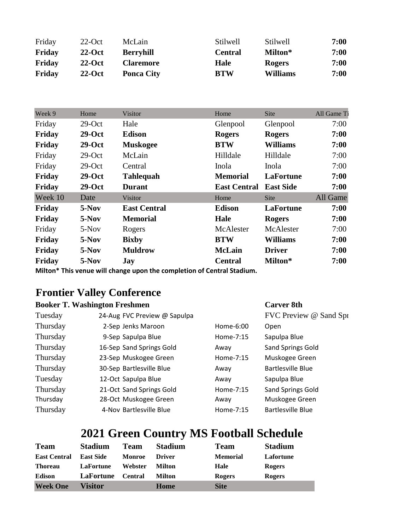| Friday | $22$ -Oct | McLain            | Stilwell       | Stilwell        | 7:00 |
|--------|-----------|-------------------|----------------|-----------------|------|
| Friday | $22-Oct$  | <b>Berryhill</b>  | <b>Central</b> | <b>Milton*</b>  | 7:00 |
| Friday | $22$ -Oct | <b>Claremore</b>  | Hale           | <b>Rogers</b>   | 7:00 |
| Friday | $22$ -Oct | <b>Ponca City</b> | <b>BTW</b>     | <b>Williams</b> | 7:00 |

| Week 9  | Home      | Visitor             | Home                | Site             | All Game Ti |
|---------|-----------|---------------------|---------------------|------------------|-------------|
| Friday  | $29$ -Oct | Hale                | Glenpool            | Glenpool         | 7:00        |
| Friday  | $29-Oct$  | <b>Edison</b>       | <b>Rogers</b>       | <b>Rogers</b>    | 7:00        |
| Friday  | $29-Oct$  | <b>Muskogee</b>     | <b>BTW</b>          | <b>Williams</b>  | 7:00        |
| Friday  | $29-Oct$  | McLain              | Hilldale            | Hilldale         | 7:00        |
| Friday  | $29-Oct$  | Central             | Inola               | Inola            | 7:00        |
| Friday  | $29-Oct$  | <b>Tahlequah</b>    | <b>Memorial</b>     | <b>LaFortune</b> | 7:00        |
| Friday  | $29-Oct$  | <b>Durant</b>       | <b>East Central</b> | <b>East Side</b> | 7:00        |
| Week 10 | Date      | <b>Visitor</b>      | Home                | Site             | All Game    |
| Friday  | $5-Nov$   | <b>East Central</b> | <b>Edison</b>       | <b>LaFortune</b> | 7:00        |
| Friday  | $5-Nov$   | <b>Memorial</b>     | Hale                | <b>Rogers</b>    | 7:00        |
| Friday  | $5-Nov$   | Rogers              | McAlester           | McAlester        | 7:00        |
| Friday  | $5-Nov$   | <b>Bixby</b>        | <b>BTW</b>          | <b>Williams</b>  | 7:00        |
| Friday  | $5-Nov$   | <b>Muldrow</b>      | <b>McLain</b>       | <b>Driver</b>    | 7:00        |
| Friday  | $5-Nov$   | <b>Jay</b>          | <b>Central</b>      | Milton*          | 7:00        |
|         |           |                     | .<br>. .            |                  |             |

**Milton\* This venue will change upon the completion of Central Stadium.**

# **Frontier Valley Conference**

| <b>Booker T. Washington Freshmen</b> |                              |           | <b>Carver 8th</b>        |
|--------------------------------------|------------------------------|-----------|--------------------------|
| Tuesday                              | 24-Aug FVC Preview @ Sapulpa |           | FVC Preview @ Sand Spr   |
| Thursday                             | 2-Sep Jenks Maroon           | Home-6:00 | Open                     |
| Thursday                             | 9-Sep Sapulpa Blue           | Home-7:15 | Sapulpa Blue             |
| Thursday                             | 16-Sep Sand Springs Gold     | Away      | Sand Springs Gold        |
| Thursday                             | 23-Sep Muskogee Green        | Home-7:15 | Muskogee Green           |
| Thursday                             | 30-Sep Bartlesville Blue     | Away      | <b>Bartlesville Blue</b> |
| Tuesday                              | 12-Oct Sapulpa Blue          | Away      | Sapulpa Blue             |
| Thursday                             | 21-Oct Sand Springs Gold     | Home-7:15 | Sand Springs Gold        |
| Thursday                             | 28-Oct Muskogee Green        | Away      | Muskogee Green           |
| Thursday                             | 4-Nov Bartlesville Blue      | Home-7:15 | <b>Bartlesville Blue</b> |

### **2021 Green Country MS Football Schedule**

| <b>Team</b>         | <b>Stadium</b>   | Team"          | <b>Stadium</b> | <b>Team</b>     | <b>Stadium</b> |
|---------------------|------------------|----------------|----------------|-----------------|----------------|
| <b>East Central</b> | <b>East Side</b> | Monroe         | <b>Driver</b>  | <b>Memorial</b> | Lafortune      |
| <b>Thoreau</b>      | LaFortune        | Webster        | <b>Milton</b>  | Hale            | <b>Rogers</b>  |
| Edison              | LaFortune        | <b>Central</b> | <b>Milton</b>  | <b>Rogers</b>   | <b>Rogers</b>  |
| <b>Week One</b>     | Visitor          |                | Home           | <b>Site</b>     |                |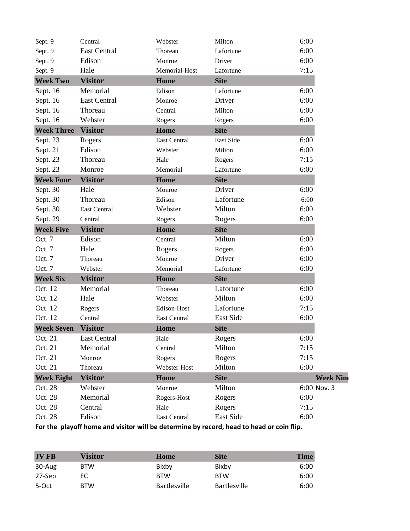| Sept. 9           | Central             | Webster             | Milton      | 6:00             |
|-------------------|---------------------|---------------------|-------------|------------------|
| Sept. 9           | East Central        | Thoreau             | Lafortune   | 6:00             |
| Sept. 9           | Edison              | Monroe              | Driver      | 6:00             |
| Sept. 9           | Hale                | Memorial-Host       | Lafortune   | 7:15             |
| <b>Week Two</b>   | <b>Visitor</b>      | Home                | <b>Site</b> |                  |
| Sept. 16          | Memorial            | Edison              | Lafortune   | 6:00             |
| Sept. 16          | East Central        | Monroe              | Driver      | 6:00             |
| Sept. 16          | Thoreau             | Central             | Milton      | 6:00             |
| Sept. 16          | Webster             | Rogers              | Rogers      | 6:00             |
| <b>Week Three</b> | <b>Visitor</b>      | Home                | <b>Site</b> |                  |
| Sept. 23          | Rogers              | East Central        | East Side   | 6:00             |
| Sept. 21          | Edison              | Webster             | Milton      | 6:00             |
| Sept. 23          | Thoreau             | Hale                | Rogers      | 7:15             |
| Sept. 23          | Monroe              | Memorial            | Lafortune   | 6:00             |
| <b>Week Four</b>  | <b>Visitor</b>      | Home                | <b>Site</b> |                  |
| Sept. 30          | Hale                | Monroe              | Driver      | 6:00             |
| Sept. 30          | Thoreau             | Edison              | Lafortune   | 6:00             |
| Sept. 30          | East Central        | Webster             | Milton      | 6:00             |
| Sept. 29          | Central             | Rogers              | Rogers      | 6:00             |
| <b>Week Five</b>  | <b>Visitor</b>      | Home                | <b>Site</b> |                  |
| Oct. 7            | Edison              | Central             | Milton      | 6:00             |
| Oct. 7            | Hale                | Rogers              | Rogers      | 6:00             |
| Oct. 7            | Thoreau             | Monroe              | Driver      | 6:00             |
| Oct. 7            | Webster             | Memorial            | Lafortune   | 6:00             |
| <b>Week Six</b>   | <b>Visitor</b>      | Home                | <b>Site</b> |                  |
| Oct. 12           | Memorial            | Thoreau             | Lafortune   | 6:00             |
| Oct. 12           | Hale                | Webster             | Milton      | 6:00             |
| Oct. 12           | Rogers              | Edison-Host         | Lafortune   | 7:15             |
| Oct. 12           | Central             | East Central        | East Side   | 6:00             |
| <b>Week Seven</b> | <b>Visitor</b>      | Home                | <b>Site</b> |                  |
| Oct. 21           | <b>East Central</b> | Hale                | Rogers      | 6:00             |
| Oct. 21           | Memorial            | Central             | Milton      | 7:15             |
| Oct. 21           | Monroe              | Rogers              | Rogers      | 7:15             |
| Oct. 21           | Thoreau             | Webster-Host        | Milton      | 6:00             |
| <b>Week Eight</b> | <b>Visitor</b>      | Home                | <b>Site</b> | <b>Week Nine</b> |
| Oct. 28           | Webster             | Monroe              | Milton      | $6:00$ Nov. 3    |
| Oct. 28           | Memorial            | Rogers-Host         | Rogers      | 6:00             |
| Oct. 28           | Central             | Hale                | Rogers      | 7:15             |
| Oct. 28           | Edison              | <b>East Central</b> | East Side   | 6:00             |

**For the playoff home and visitor will be determine by record, head to head or coin flip.**

| JVFB   | Visitor    | Home                | <b>Site</b>         | <b>Time</b> |
|--------|------------|---------------------|---------------------|-------------|
| 30-Aug | <b>BTW</b> | Bixby               | Bixby               | 6:00        |
| 27-Sep | EC         | <b>BTW</b>          | <b>BTW</b>          | 6:00        |
| 5-Oct  | <b>BTW</b> | <b>Bartlesville</b> | <b>Bartlesville</b> | 6:00        |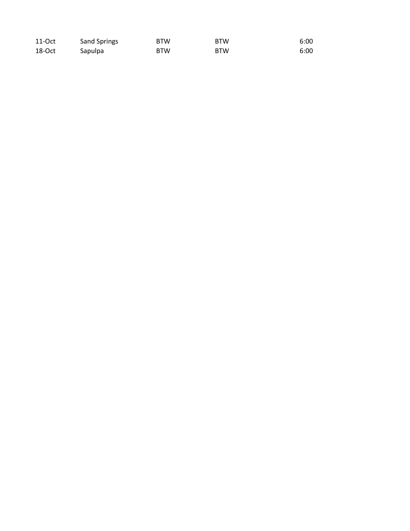| 11-Oct | <b>Sand Springs</b> | <b>BTW</b> | <b>BTW</b> | 6:00 |
|--------|---------------------|------------|------------|------|
| 18-Oct | Sapulpa             | <b>BTW</b> | <b>BTW</b> | 6:00 |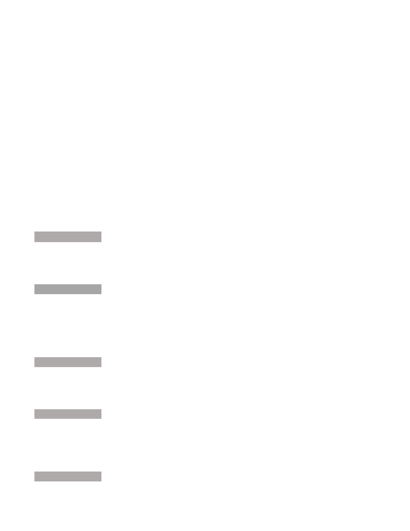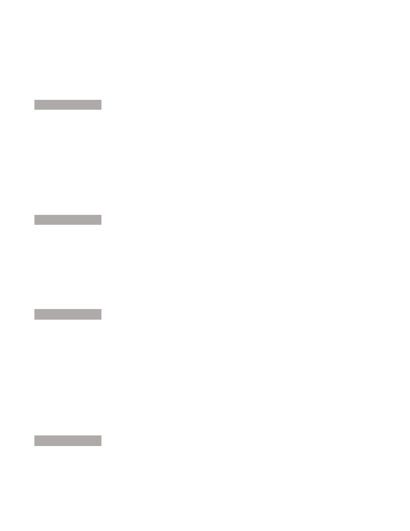**Contract Contract**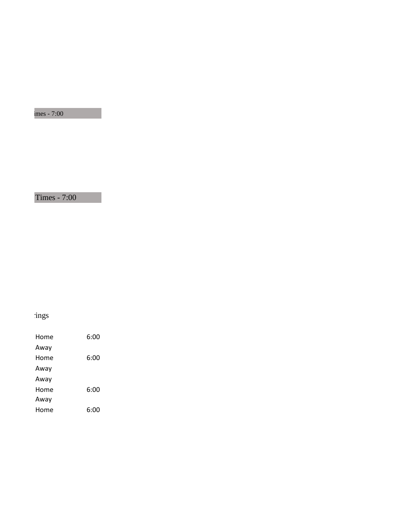$imes - 7:00$ 

Times - 7:00

### $rings$

| Home | 6:00 |
|------|------|
| Away |      |
| Home | 6:00 |
| Away |      |
| Away |      |
| Home | 6:00 |
| Away |      |
| Home | 6:00 |